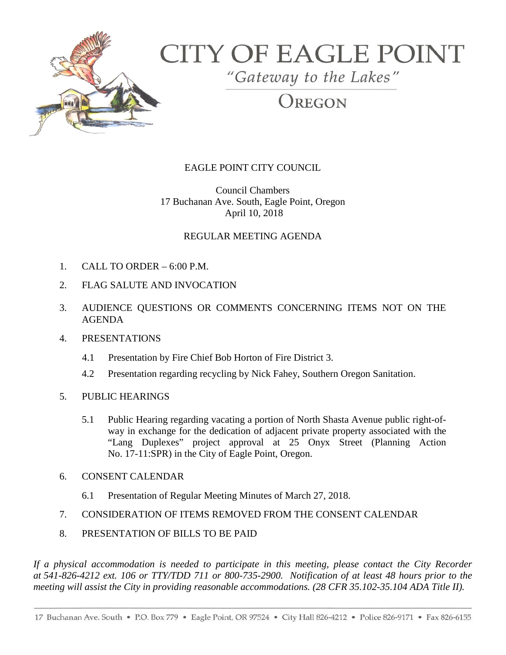

# **CITY OF EAGLE POINT**

"Gateway to the Lakes"

REGON

## EAGLE POINT CITY COUNCIL

Council Chambers 17 Buchanan Ave. South, Eagle Point, Oregon April 10, 2018

## REGULAR MEETING AGENDA

- 1. CALL TO ORDER 6:00 P.M.
- 2. FLAG SALUTE AND INVOCATION
- 3. AUDIENCE QUESTIONS OR COMMENTS CONCERNING ITEMS NOT ON THE AGENDA

#### 4. PRESENTATIONS

- 4.1 Presentation by Fire Chief Bob Horton of Fire District 3.
- 4.2 Presentation regarding recycling by Nick Fahey, Southern Oregon Sanitation.
- 5. PUBLIC HEARINGS
	- 5.1 Public Hearing regarding vacating a portion of North Shasta Avenue public right-ofway in exchange for the dedication of adjacent private property associated with the "Lang Duplexes" project approval at 25 Onyx Street (Planning Action No. 17-11:SPR) in the City of Eagle Point, Oregon.
- 6. CONSENT CALENDAR
	- 6.1 Presentation of Regular Meeting Minutes of March 27, 2018.
- 7. CONSIDERATION OF ITEMS REMOVED FROM THE CONSENT CALENDAR
- 8. PRESENTATION OF BILLS TO BE PAID

*If a physical accommodation is needed to participate in this meeting, please contact the City Recorder at 541-826-4212 ext. 106 or TTY/TDD 711 or 800-735-2900. Notification of at least 48 hours prior to the meeting will assist the City in providing reasonable accommodations. (28 CFR 35.102-35.104 ADA Title II).*